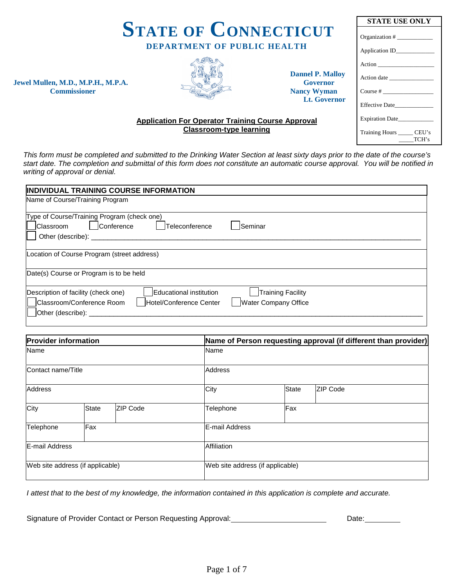| <b>STATE OF CONNECTICUT</b>                                                                                                   |                                                          |                                            | <b>STATE USE ONLY</b>                |  |
|-------------------------------------------------------------------------------------------------------------------------------|----------------------------------------------------------|--------------------------------------------|--------------------------------------|--|
|                                                                                                                               |                                                          |                                            |                                      |  |
|                                                                                                                               | <b>DEPARTMENT OF PUBLIC HEALTH</b>                       |                                            | Application ID_____________          |  |
|                                                                                                                               |                                                          |                                            | Action                               |  |
|                                                                                                                               |                                                          | <b>Dannel P. Malloy</b><br><b>Governor</b> | Action date                          |  |
| Jewel Mullen, M.D., M.P.H., M.P.A.<br><b>Commissioner</b>                                                                     |                                                          | <b>Nancy Wyman</b>                         | Course $#$                           |  |
|                                                                                                                               |                                                          | Lt. Governor                               | <b>Effective Date</b>                |  |
|                                                                                                                               | <b>Application For Operator Training Course Approval</b> |                                            | Expiration Date                      |  |
|                                                                                                                               | <b>Classroom-type learning</b>                           |                                            | Training Hours ______ CEU's<br>TCH's |  |
| This form must be completed and submitted to the Drinking Water Section at least sixty days prior to the date of the course's |                                                          |                                            |                                      |  |

*This form must be completed and submitted to the Drinking Water Section at least sixty days prior to the date of the course's start date. The completion and submittal of this form does not constitute an automatic course approval. You will be notified in writing of approval or denial.* 

| <b>INDIVIDUAL TRAINING COURSE INFORMATION</b>                                                                                               |                                                         |  |  |  |  |
|---------------------------------------------------------------------------------------------------------------------------------------------|---------------------------------------------------------|--|--|--|--|
| Name of Course/Training Program                                                                                                             |                                                         |  |  |  |  |
| Type of Course/Training Program (check one)<br>Conference<br>Teleconference<br><b>Classroom</b><br>Other (describe): _                      | <b>Seminar</b>                                          |  |  |  |  |
| Location of Course Program (street address)                                                                                                 |                                                         |  |  |  |  |
| Date(s) Course or Program is to be held                                                                                                     |                                                         |  |  |  |  |
| Description of facility (check one)<br>Educational institution<br>Classroom/Conference Room<br>Hotel/Conference Center<br>Other (describe): | <b>Training Facility</b><br><b>Water Company Office</b> |  |  |  |  |

| <b>Provider information</b>      |              |                |                                  | Name of Person requesting approval (if different than provider) |                 |  |  |
|----------------------------------|--------------|----------------|----------------------------------|-----------------------------------------------------------------|-----------------|--|--|
| Name                             |              |                | Name                             |                                                                 |                 |  |  |
| Contact name/Title               |              | <b>Address</b> |                                  |                                                                 |                 |  |  |
| <b>Address</b>                   |              |                | City                             | <b>State</b>                                                    | <b>ZIP Code</b> |  |  |
| City                             | <b>State</b> | ZIP Code       | Telephone                        | Fax                                                             |                 |  |  |
| Telephone                        | Fax          |                | E-mail Address                   |                                                                 |                 |  |  |
| <b>E-mail Address</b>            |              | Affiliation    |                                  |                                                                 |                 |  |  |
| Web site address (if applicable) |              |                | Web site address (if applicable) |                                                                 |                 |  |  |

*I attest that to the best of my knowledge, the information contained in this application is complete and accurate.*

Signature of Provider Contact or Person Requesting Approval: \_\_\_\_\_\_\_\_\_\_\_\_\_\_\_\_\_\_\_\_\_\_\_\_\_\_\_\_\_\_\_Date: \_\_\_\_\_\_\_\_\_\_\_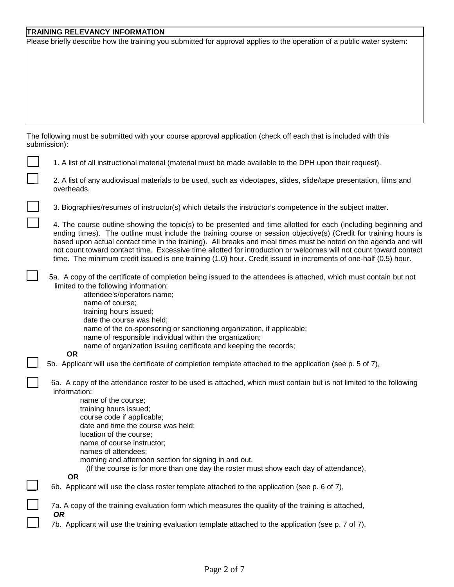### **TRAINING RELEVANCY INFORMATION**

Please briefly describe how the training you submitted for approval applies to the operation of a public water system:

The following must be submitted with your course approval application (check off each that is included with this submission):

| 1. A list of all instructional material (material must be made available to the DPH upon their request).<br>2. A list of any audiovisual materials to be used, such as videotapes, slides, slide/tape presentation, films and<br>overheads.<br>3. Biographies/resumes of instructor(s) which details the instructor's competence in the subject matter.<br>4. The course outline showing the topic(s) to be presented and time allotted for each (including beginning and<br>ending times). The outline must include the training course or session objective(s) (Credit for training hours is<br>based upon actual contact time in the training). All breaks and meal times must be noted on the agenda and will<br>not count toward contact time. Excessive time allotted for introduction or welcomes will not count toward contact<br>time. The minimum credit issued is one training (1.0) hour. Credit issued in increments of one-half (0.5) hour.<br>5a. A copy of the certificate of completion being issued to the attendees is attached, which must contain but not<br>limited to the following information:<br>attendee's/operators name;<br>name of course;<br>training hours issued;<br>date the course was held;<br>name of the co-sponsoring or sanctioning organization, if applicable;<br>name of responsible individual within the organization;<br>name of organization issuing certificate and keeping the records;<br><b>OR</b><br>5b. Applicant will use the certificate of completion template attached to the application (see p. 5 of 7),<br>6a. A copy of the attendance roster to be used is attached, which must contain but is not limited to the following<br>information:<br>name of the course;<br>training hours issued;<br>course code if applicable;<br>date and time the course was held;<br>location of the course;<br>name of course instructor;<br>names of attendees;<br>morning and afternoon section for signing in and out.<br>(If the course is for more than one day the roster must show each day of attendance),<br><b>OR</b><br>6b. Applicant will use the class roster template attached to the application (see p. 6 of 7),<br>7a. A copy of the training evaluation form which measures the quality of the training is attached,<br><b>OR</b><br>7b. Applicant will use the training evaluation template attached to the application (see p. 7 of 7). | submission): |
|-----------------------------------------------------------------------------------------------------------------------------------------------------------------------------------------------------------------------------------------------------------------------------------------------------------------------------------------------------------------------------------------------------------------------------------------------------------------------------------------------------------------------------------------------------------------------------------------------------------------------------------------------------------------------------------------------------------------------------------------------------------------------------------------------------------------------------------------------------------------------------------------------------------------------------------------------------------------------------------------------------------------------------------------------------------------------------------------------------------------------------------------------------------------------------------------------------------------------------------------------------------------------------------------------------------------------------------------------------------------------------------------------------------------------------------------------------------------------------------------------------------------------------------------------------------------------------------------------------------------------------------------------------------------------------------------------------------------------------------------------------------------------------------------------------------------------------------------------------------------------------------------------------------------------------------------------------------------------------------------------------------------------------------------------------------------------------------------------------------------------------------------------------------------------------------------------------------------------------------------------------------------------------------------------------------------------------------------------------------------------------------------------------------|--------------|
|                                                                                                                                                                                                                                                                                                                                                                                                                                                                                                                                                                                                                                                                                                                                                                                                                                                                                                                                                                                                                                                                                                                                                                                                                                                                                                                                                                                                                                                                                                                                                                                                                                                                                                                                                                                                                                                                                                                                                                                                                                                                                                                                                                                                                                                                                                                                                                                                           |              |
|                                                                                                                                                                                                                                                                                                                                                                                                                                                                                                                                                                                                                                                                                                                                                                                                                                                                                                                                                                                                                                                                                                                                                                                                                                                                                                                                                                                                                                                                                                                                                                                                                                                                                                                                                                                                                                                                                                                                                                                                                                                                                                                                                                                                                                                                                                                                                                                                           |              |
|                                                                                                                                                                                                                                                                                                                                                                                                                                                                                                                                                                                                                                                                                                                                                                                                                                                                                                                                                                                                                                                                                                                                                                                                                                                                                                                                                                                                                                                                                                                                                                                                                                                                                                                                                                                                                                                                                                                                                                                                                                                                                                                                                                                                                                                                                                                                                                                                           |              |
|                                                                                                                                                                                                                                                                                                                                                                                                                                                                                                                                                                                                                                                                                                                                                                                                                                                                                                                                                                                                                                                                                                                                                                                                                                                                                                                                                                                                                                                                                                                                                                                                                                                                                                                                                                                                                                                                                                                                                                                                                                                                                                                                                                                                                                                                                                                                                                                                           |              |
|                                                                                                                                                                                                                                                                                                                                                                                                                                                                                                                                                                                                                                                                                                                                                                                                                                                                                                                                                                                                                                                                                                                                                                                                                                                                                                                                                                                                                                                                                                                                                                                                                                                                                                                                                                                                                                                                                                                                                                                                                                                                                                                                                                                                                                                                                                                                                                                                           |              |
|                                                                                                                                                                                                                                                                                                                                                                                                                                                                                                                                                                                                                                                                                                                                                                                                                                                                                                                                                                                                                                                                                                                                                                                                                                                                                                                                                                                                                                                                                                                                                                                                                                                                                                                                                                                                                                                                                                                                                                                                                                                                                                                                                                                                                                                                                                                                                                                                           |              |
|                                                                                                                                                                                                                                                                                                                                                                                                                                                                                                                                                                                                                                                                                                                                                                                                                                                                                                                                                                                                                                                                                                                                                                                                                                                                                                                                                                                                                                                                                                                                                                                                                                                                                                                                                                                                                                                                                                                                                                                                                                                                                                                                                                                                                                                                                                                                                                                                           |              |
|                                                                                                                                                                                                                                                                                                                                                                                                                                                                                                                                                                                                                                                                                                                                                                                                                                                                                                                                                                                                                                                                                                                                                                                                                                                                                                                                                                                                                                                                                                                                                                                                                                                                                                                                                                                                                                                                                                                                                                                                                                                                                                                                                                                                                                                                                                                                                                                                           |              |
|                                                                                                                                                                                                                                                                                                                                                                                                                                                                                                                                                                                                                                                                                                                                                                                                                                                                                                                                                                                                                                                                                                                                                                                                                                                                                                                                                                                                                                                                                                                                                                                                                                                                                                                                                                                                                                                                                                                                                                                                                                                                                                                                                                                                                                                                                                                                                                                                           |              |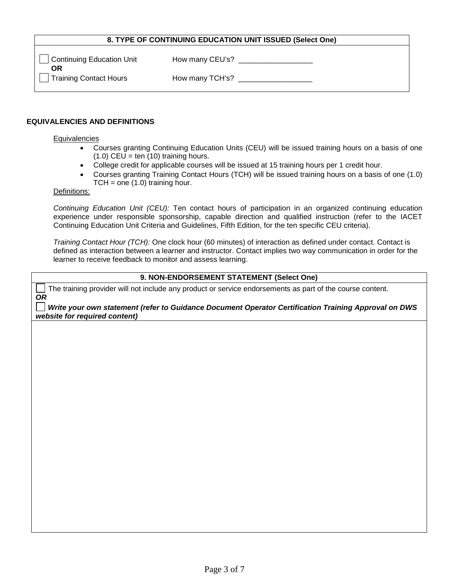#### **8. TYPE OF CONTINUING EDUCATION UNIT ISSUED (Select One)**

| Continuing Education Unit<br>ΟR | How many CEU's? |
|---------------------------------|-----------------|
| Training Contact Hours          | How many TCH's? |

#### **EQUIVALENCIES AND DEFINITIONS**

#### **Equivalencies**

- Courses granting Continuing Education Units (CEU) will be issued training hours on a basis of one  $(1.0)$  CEU = ten  $(10)$  training hours.
- College credit for applicable courses will be issued at 15 training hours per 1 credit hour.
- Courses granting Training Contact Hours (TCH) will be issued training hours on a basis of one (1.0)  $TCH = one (1.0)$  training hour.

### Definitions:

*Continuing Education Unit (CEU):* Ten contact hours of participation in an organized continuing education experience under responsible sponsorship, capable direction and qualified instruction (refer to the IACET Continuing Education Unit Criteria and Guidelines, Fifth Edition, for the ten specific CEU criteria).

*Training Contact Hour (TCH):* One clock hour (60 minutes) of interaction as defined under contact. Contact is defined as interaction between a learner and instructor. Contact implies two way communication in order for the learner to receive feedback to monitor and assess learning.

#### **9. NON-ENDORSEMENT STATEMENT (Select One)**

The training provider will not include any product or service endorsements as part of the course content. *OR*

*Write your own statement (refer to Guidance Document Operator Certification Training Approval on DWS website for required content)*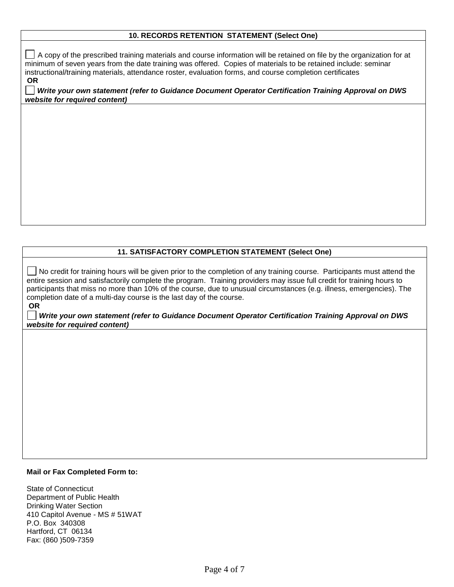#### **10. RECORDS RETENTION STATEMENT (Select One)**

 $\Box$  A copy of the prescribed training materials and course information will be retained on file by the organization for at minimum of seven years from the date training was offered. Copies of materials to be retained include: seminar instructional/training materials, attendance roster, evaluation forms, and course completion certificates **OR**

*Write your own statement (refer to Guidance Document Operator Certification Training Approval on DWS website for required content)*

#### **11. SATISFACTORY COMPLETION STATEMENT (Select One)**

No credit for training hours will be given prior to the completion of any training course. Participants must attend the entire session and satisfactorily complete the program. Training providers may issue full credit for training hours to participants that miss no more than 10% of the course, due to unusual circumstances (e.g. illness, emergencies). The completion date of a multi-day course is the last day of the course. **OR**

*Write your own statement (refer to Guidance Document Operator Certification Training Approval on DWS website for required content)*

### **Mail or Fax Completed Form to:**

State of Connecticut Department of Public Health Drinking Water Section 410 Capitol Avenue - MS # 51WAT P.O. Box 340308 Hartford, CT 06134 Fax: (860 )509-7359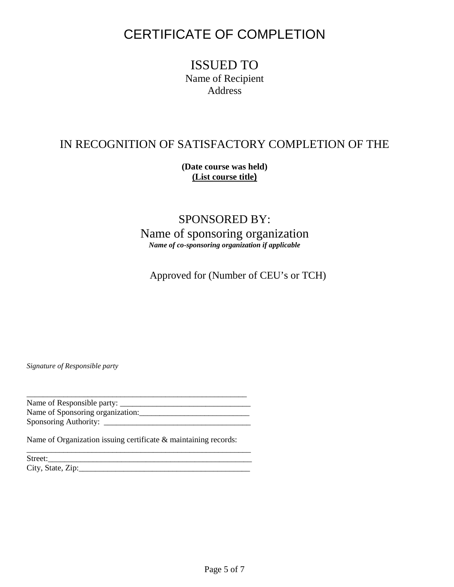# CERTIFICATE OF COMPLETION

## ISSUED TO Name of Recipient Address

# IN RECOGNITION OF SATISFACTORY COMPLETION OF THE

**(Date course was held) (List course title)**

## SPONSORED BY: Name of sponsoring organization *Name of co-sponsoring organization if applicable*

Approved for (Number of CEU's or TCH)

*Signature of Responsible party*

\_\_\_\_\_\_\_\_\_\_\_\_\_\_\_\_\_\_\_\_\_\_\_\_\_\_\_\_\_\_\_\_\_\_\_\_\_\_\_\_\_\_\_\_\_\_\_\_\_\_\_\_\_\_ Name of Responsible party: Name of Sponsoring organization:\_\_\_\_\_\_\_\_\_\_\_\_\_\_\_\_\_\_\_\_\_\_\_\_\_\_\_ Sponsoring Authority: \_\_\_\_\_\_\_\_\_\_\_\_\_\_\_\_\_\_\_\_\_\_\_\_\_\_\_\_\_\_\_\_\_\_\_\_

\_\_\_\_\_\_\_\_\_\_\_\_\_\_\_\_\_\_\_\_\_\_\_\_\_\_\_\_\_\_\_\_\_\_\_\_\_\_\_\_\_\_\_\_\_\_\_\_\_\_\_\_\_\_\_

Name of Organization issuing certificate & maintaining records:

Street:\_\_\_\_\_\_\_\_\_\_\_\_\_\_\_\_\_\_\_\_\_\_\_\_\_\_\_\_\_\_\_\_\_\_\_\_\_\_\_\_\_\_\_\_\_\_\_\_\_\_ City, State, Zip:\_\_\_\_\_\_\_\_\_\_\_\_\_\_\_\_\_\_\_\_\_\_\_\_\_\_\_\_\_\_\_\_\_\_\_\_\_\_\_\_\_\_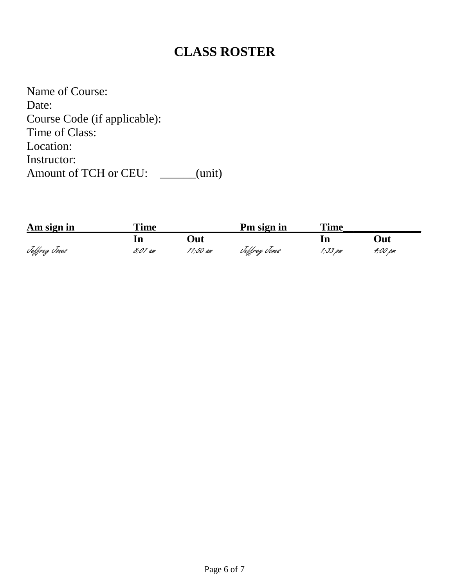# **CLASS ROSTER**

Name of Course: Date: Course Code (if applicable): Time of Class: Location: Instructor: Amount of TCH or CEU: \_\_\_\_\_(unit)

| Am sign in    | <b>Time</b> |          | Pm sign in    | Time    |         |
|---------------|-------------|----------|---------------|---------|---------|
|               |             | ')ut     |               |         | )ut     |
| Teffrey Tones | 8:01 am     | 11:50 am | Teffrey Tones | 1:33 pm | 4:00 pm |